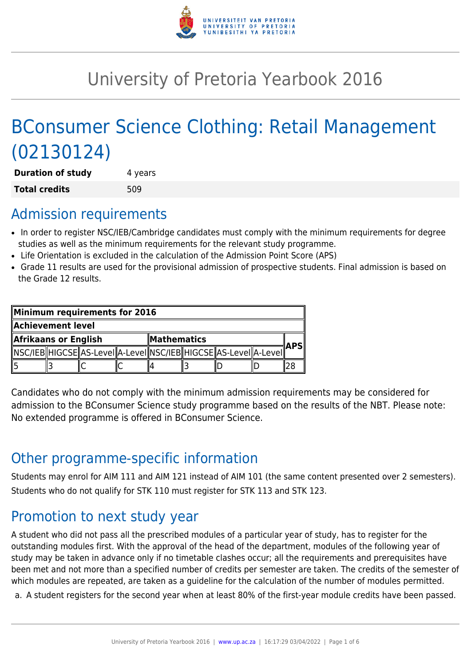

# University of Pretoria Yearbook 2016

# BConsumer Science Clothing: Retail Management (02130124)

**Duration of study** 4 years **Total credits** 509

### Admission requirements

- In order to register NSC/IEB/Cambridge candidates must comply with the minimum requirements for degree studies as well as the minimum requirements for the relevant study programme.
- Life Orientation is excluded in the calculation of the Admission Point Score (APS)
- Grade 11 results are used for the provisional admission of prospective students. Final admission is based on the Grade 12 results.

| Minimum requirements for 2016 |  |                                                                           |  |                    |  |  |  |  |
|-------------------------------|--|---------------------------------------------------------------------------|--|--------------------|--|--|--|--|
| Achievement level             |  |                                                                           |  |                    |  |  |  |  |
| Afrikaans or English          |  |                                                                           |  | <b>Mathematics</b> |  |  |  |  |
|                               |  | NSC/IEB  HIGCSE  AS-LeveI  A-LeveI  NSC/IEB  HIGCSE  AS-LeveI  A-LeveI  ´ |  |                    |  |  |  |  |
|                               |  |                                                                           |  |                    |  |  |  |  |

Candidates who do not comply with the minimum admission requirements may be considered for admission to the BConsumer Science study programme based on the results of the NBT. Please note: No extended programme is offered in BConsumer Science.

## Other programme-specific information

Students may enrol for AIM 111 and AIM 121 instead of AIM 101 (the same content presented over 2 semesters). Students who do not qualify for STK 110 must register for STK 113 and STK 123.

### Promotion to next study year

A student who did not pass all the prescribed modules of a particular year of study, has to register for the outstanding modules first. With the approval of the head of the department, modules of the following year of study may be taken in advance only if no timetable clashes occur; all the requirements and prerequisites have been met and not more than a specified number of credits per semester are taken. The credits of the semester of which modules are repeated, are taken as a guideline for the calculation of the number of modules permitted.

a. A student registers for the second year when at least 80% of the first-year module credits have been passed.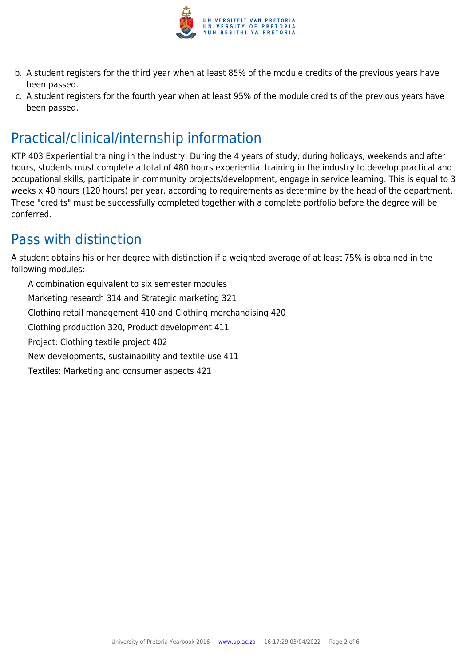

- b. A student registers for the third year when at least 85% of the module credits of the previous years have been passed.
- c. A student registers for the fourth year when at least 95% of the module credits of the previous years have been passed.

# Practical/clinical/internship information

KTP 403 Experiential training in the industry: During the 4 years of study, during holidays, weekends and after hours, students must complete a total of 480 hours experiential training in the industry to develop practical and occupational skills, participate in community projects/development, engage in service learning. This is equal to 3 weeks x 40 hours (120 hours) per year, according to requirements as determine by the head of the department. These "credits" must be successfully completed together with a complete portfolio before the degree will be conferred.

## Pass with distinction

A student obtains his or her degree with distinction if a weighted average of at least 75% is obtained in the following modules:

A combination equivalent to six semester modules Marketing research 314 and Strategic marketing 321 Clothing retail management 410 and Clothing merchandising 420 Clothing production 320, Product development 411 Project: Clothing textile project 402 New developments, sustainability and textile use 411 Textiles: Marketing and consumer aspects 421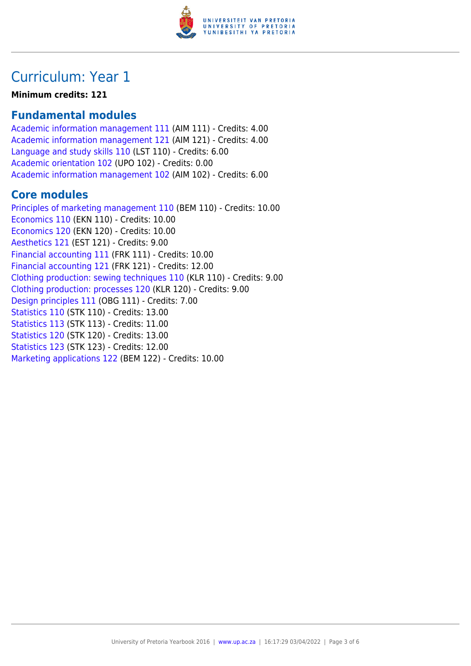

### Curriculum: Year 1

**Minimum credits: 121**

#### **Fundamental modules**

[Academic information management 111](https://www.up.ac.za/yearbooks/2016/modules/view/AIM 111) (AIM 111) - Credits: 4.00 [Academic information management 121](https://www.up.ac.za/yearbooks/2016/modules/view/AIM 121) (AIM 121) - Credits: 4.00 [Language and study skills 110](https://www.up.ac.za/yearbooks/2016/modules/view/LST 110) (LST 110) - Credits: 6.00 [Academic orientation 102](https://www.up.ac.za/yearbooks/2016/modules/view/UPO 102) (UPO 102) - Credits: 0.00 [Academic information management 102](https://www.up.ac.za/yearbooks/2016/modules/view/AIM 102) (AIM 102) - Credits: 6.00

#### **Core modules**

[Principles of marketing management 110](https://www.up.ac.za/yearbooks/2016/modules/view/BEM 110) (BEM 110) - Credits: 10.00 [Economics 110](https://www.up.ac.za/yearbooks/2016/modules/view/EKN 110) (EKN 110) - Credits: 10.00 [Economics 120](https://www.up.ac.za/yearbooks/2016/modules/view/EKN 120) (EKN 120) - Credits: 10.00 [Aesthetics 121](https://www.up.ac.za/yearbooks/2016/modules/view/EST 121) (EST 121) - Credits: 9.00 [Financial accounting 111](https://www.up.ac.za/yearbooks/2016/modules/view/FRK 111) (FRK 111) - Credits: 10.00 [Financial accounting 121](https://www.up.ac.za/yearbooks/2016/modules/view/FRK 121) (FRK 121) - Credits: 12.00 [Clothing production: sewing techniques 110](https://www.up.ac.za/yearbooks/2016/modules/view/KLR 110) (KLR 110) - Credits: 9.00 [Clothing production: processes 120](https://www.up.ac.za/yearbooks/2016/modules/view/KLR 120) (KLR 120) - Credits: 9.00 [Design principles 111](https://www.up.ac.za/yearbooks/2016/modules/view/OBG 111) (OBG 111) - Credits: 7.00 [Statistics 110](https://www.up.ac.za/yearbooks/2016/modules/view/STK 110) (STK 110) - Credits: 13.00 [Statistics 113](https://www.up.ac.za/yearbooks/2016/modules/view/STK 113) (STK 113) - Credits: 11.00 [Statistics 120](https://www.up.ac.za/yearbooks/2016/modules/view/STK 120) (STK 120) - Credits: 13.00 [Statistics 123](https://www.up.ac.za/yearbooks/2016/modules/view/STK 123) (STK 123) - Credits: 12.00 [Marketing applications 122](https://www.up.ac.za/yearbooks/2016/modules/view/BEM 122) (BEM 122) - Credits: 10.00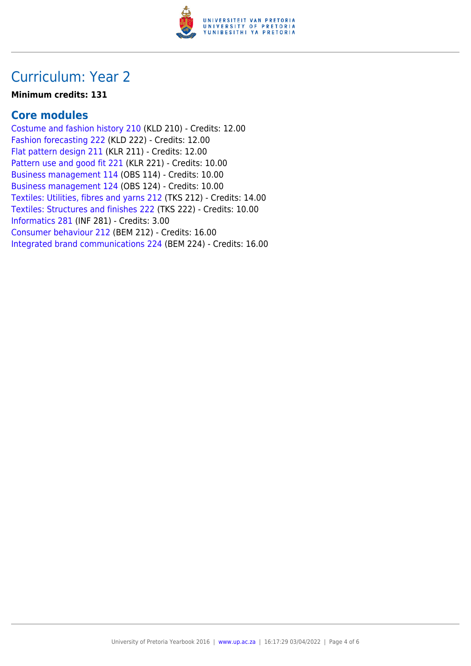

### Curriculum: Year 2

#### **Minimum credits: 131**

#### **Core modules**

[Costume and fashion history 210](https://www.up.ac.za/yearbooks/2016/modules/view/KLD 210) (KLD 210) - Credits: 12.00 [Fashion forecasting 222](https://www.up.ac.za/yearbooks/2016/modules/view/KLD 222) (KLD 222) - Credits: 12.00 [Flat pattern design 211](https://www.up.ac.za/yearbooks/2016/modules/view/KLR 211) (KLR 211) - Credits: 12.00 [Pattern use and good fit 221](https://www.up.ac.za/yearbooks/2016/modules/view/KLR 221) (KLR 221) - Credits: 10.00 [Business management 114](https://www.up.ac.za/yearbooks/2016/modules/view/OBS 114) (OBS 114) - Credits: 10.00 [Business management 124](https://www.up.ac.za/yearbooks/2016/modules/view/OBS 124) (OBS 124) - Credits: 10.00 [Textiles: Utilities, fibres and yarns 212](https://www.up.ac.za/yearbooks/2016/modules/view/TKS 212) (TKS 212) - Credits: 14.00 [Textiles: Structures and finishes 222](https://www.up.ac.za/yearbooks/2016/modules/view/TKS 222) (TKS 222) - Credits: 10.00 [Informatics 281](https://www.up.ac.za/yearbooks/2016/modules/view/INF 281) (INF 281) - Credits: 3.00 [Consumer behaviour 212](https://www.up.ac.za/yearbooks/2016/modules/view/BEM 212) (BEM 212) - Credits: 16.00 [Integrated brand communications 224](https://www.up.ac.za/yearbooks/2016/modules/view/BEM 224) (BEM 224) - Credits: 16.00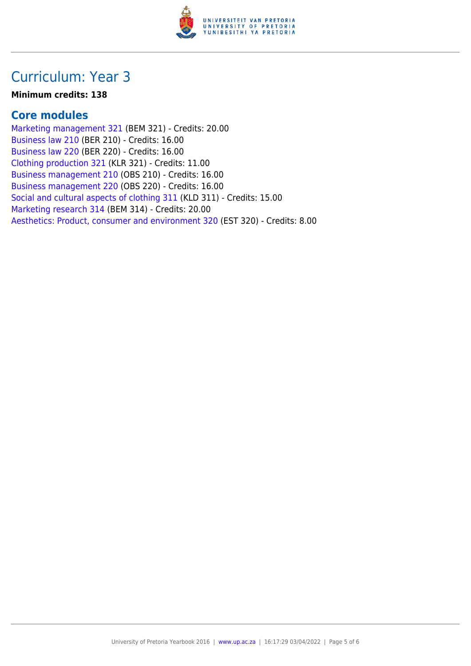

### Curriculum: Year 3

#### **Minimum credits: 138**

#### **Core modules**

[Marketing management 321](https://www.up.ac.za/yearbooks/2016/modules/view/BEM 321) (BEM 321) - Credits: 20.00 [Business law 210](https://www.up.ac.za/yearbooks/2016/modules/view/BER 210) (BER 210) - Credits: 16.00 [Business law 220](https://www.up.ac.za/yearbooks/2016/modules/view/BER 220) (BER 220) - Credits: 16.00 [Clothing production 321](https://www.up.ac.za/yearbooks/2016/modules/view/KLR 321) (KLR 321) - Credits: 11.00 [Business management 210](https://www.up.ac.za/yearbooks/2016/modules/view/OBS 210) (OBS 210) - Credits: 16.00 [Business management 220](https://www.up.ac.za/yearbooks/2016/modules/view/OBS 220) (OBS 220) - Credits: 16.00 [Social and cultural aspects of clothing 311](https://www.up.ac.za/yearbooks/2016/modules/view/KLD 311) (KLD 311) - Credits: 15.00 [Marketing research 314](https://www.up.ac.za/yearbooks/2016/modules/view/BEM 314) (BEM 314) - Credits: 20.00 [Aesthetics: Product, consumer and environment 320](https://www.up.ac.za/yearbooks/2016/modules/view/EST 320) (EST 320) - Credits: 8.00